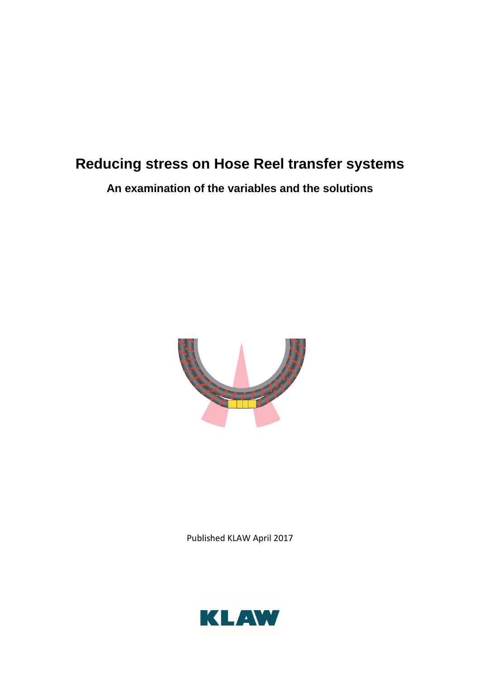# **Reducing stress on Hose Reel transfer systems**

**An examination of the variables and the solutions**



Published KLAW April 2017

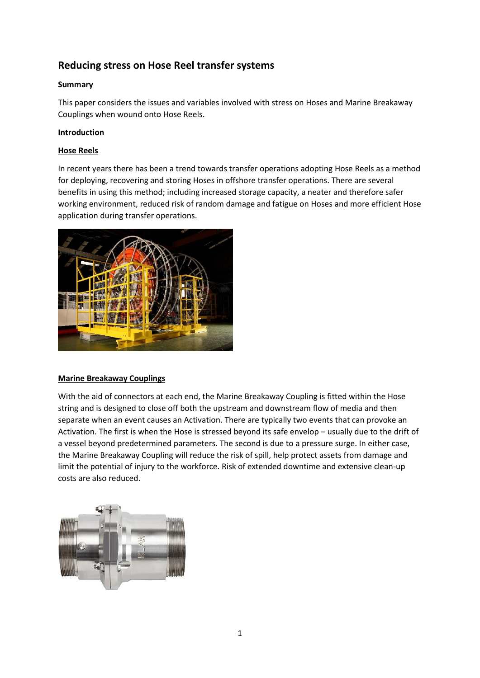# **Reducing stress on Hose Reel transfer systems**

# **Summary**

This paper considers the issues and variables involved with stress on Hoses and Marine Breakaway Couplings when wound onto Hose Reels.

## **Introduction**

## **Hose Reels**

In recent years there has been a trend towards transfer operations adopting Hose Reels as a method for deploying, recovering and storing Hoses in offshore transfer operations. There are several benefits in using this method; including increased storage capacity, a neater and therefore safer working environment, reduced risk of random damage and fatigue on Hoses and more efficient Hose application during transfer operations.



#### **Marine Breakaway Couplings**

With the aid of connectors at each end, the Marine Breakaway Coupling is fitted within the Hose string and is designed to close off both the upstream and downstream flow of media and then separate when an event causes an Activation. There are typically two events that can provoke an Activation. The first is when the Hose is stressed beyond its safe envelop – usually due to the drift of a vessel beyond predetermined parameters. The second is due to a pressure surge. In either case, the Marine Breakaway Coupling will reduce the risk of spill, help protect assets from damage and limit the potential of injury to the workforce. Risk of extended downtime and extensive clean-up costs are also reduced.

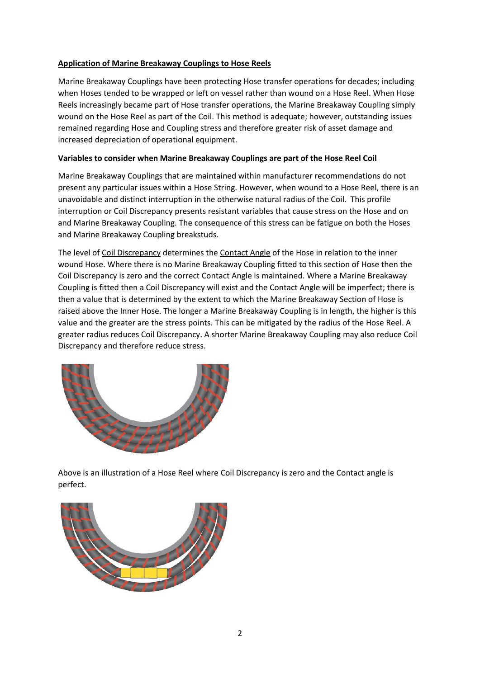#### **Application of Marine Breakaway Couplings to Hose Reels**

Marine Breakaway Couplings have been protecting Hose transfer operations for decades; including when Hoses tended to be wrapped or left on vessel rather than wound on a Hose Reel. When Hose Reels increasingly became part of Hose transfer operations, the Marine Breakaway Coupling simply wound on the Hose Reel as part of the Coil. This method is adequate; however, outstanding issues remained regarding Hose and Coupling stress and therefore greater risk of asset damage and increased depreciation of operational equipment.

#### **Variables to consider when Marine Breakaway Couplings are part of the Hose Reel Coil**

Marine Breakaway Couplings that are maintained within manufacturer recommendations do not present any particular issues within a Hose String. However, when wound to a Hose Reel, there is an unavoidable and distinct interruption in the otherwise natural radius of the Coil. This profile interruption or Coil Discrepancy presents resistant variables that cause stress on the Hose and on and Marine Breakaway Coupling. The consequence of this stress can be fatigue on both the Hoses and Marine Breakaway Coupling breakstuds.

The level of Coil Discrepancy determines the Contact Angle of the Hose in relation to the inner wound Hose. Where there is no Marine Breakaway Coupling fitted to this section of Hose then the Coil Discrepancy is zero and the correct Contact Angle is maintained. Where a Marine Breakaway Coupling is fitted then a Coil Discrepancy will exist and the Contact Angle will be imperfect; there is then a value that is determined by the extent to which the Marine Breakaway Section of Hose is raised above the Inner Hose. The longer a Marine Breakaway Coupling is in length, the higher is this value and the greater are the stress points. This can be mitigated by the radius of the Hose Reel. A greater radius reduces Coil Discrepancy. A shorter Marine Breakaway Coupling may also reduce Coil Discrepancy and therefore reduce stress.



Above is an illustration of a Hose Reel where Coil Discrepancy is zero and the Contact angle is perfect.

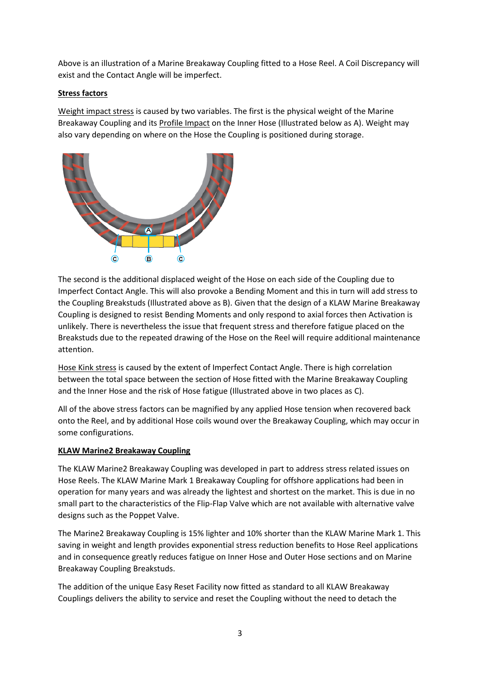Above is an illustration of a Marine Breakaway Coupling fitted to a Hose Reel. A Coil Discrepancy will exist and the Contact Angle will be imperfect.

#### **Stress factors**

Weight impact stress is caused by two variables. The first is the physical weight of the Marine Breakaway Coupling and its Profile Impact on the Inner Hose (Illustrated below as A). Weight may also vary depending on where on the Hose the Coupling is positioned during storage.



The second is the additional displaced weight of the Hose on each side of the Coupling due to Imperfect Contact Angle. This will also provoke a Bending Moment and this in turn will add stress to the Coupling Breakstuds (Illustrated above as B). Given that the design of a KLAW Marine Breakaway Coupling is designed to resist Bending Moments and only respond to axial forces then Activation is unlikely. There is nevertheless the issue that frequent stress and therefore fatigue placed on the Breakstuds due to the repeated drawing of the Hose on the Reel will require additional maintenance attention.

Hose Kink stress is caused by the extent of Imperfect Contact Angle. There is high correlation between the total space between the section of Hose fitted with the Marine Breakaway Coupling and the Inner Hose and the risk of Hose fatigue (Illustrated above in two places as C).

All of the above stress factors can be magnified by any applied Hose tension when recovered back onto the Reel, and by additional Hose coils wound over the Breakaway Coupling, which may occur in some configurations.

#### **KLAW Marine2 Breakaway Coupling**

The KLAW Marine2 Breakaway Coupling was developed in part to address stress related issues on Hose Reels. The KLAW Marine Mark 1 Breakaway Coupling for offshore applications had been in operation for many years and was already the lightest and shortest on the market. This is due in no small part to the characteristics of the Flip-Flap Valve which are not available with alternative valve designs such as the Poppet Valve.

The Marine2 Breakaway Coupling is 15% lighter and 10% shorter than the KLAW Marine Mark 1. This saving in weight and length provides exponential stress reduction benefits to Hose Reel applications and in consequence greatly reduces fatigue on Inner Hose and Outer Hose sections and on Marine Breakaway Coupling Breakstuds.

The addition of the unique Easy Reset Facility now fitted as standard to all KLAW Breakaway Couplings delivers the ability to service and reset the Coupling without the need to detach the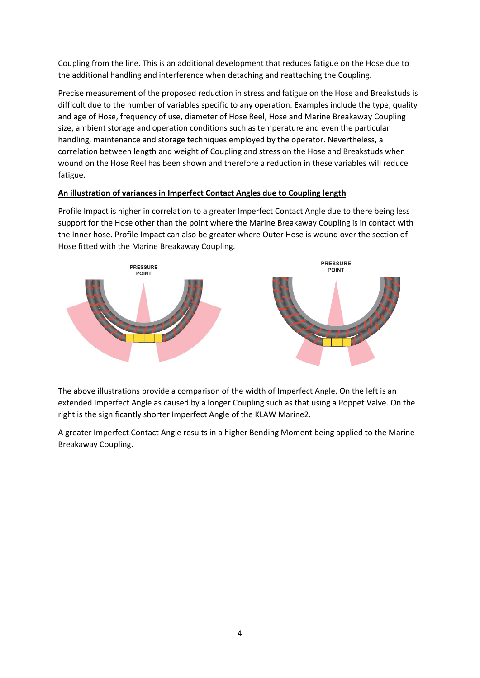Coupling from the line. This is an additional development that reduces fatigue on the Hose due to the additional handling and interference when detaching and reattaching the Coupling.

Precise measurement of the proposed reduction in stress and fatigue on the Hose and Breakstuds is difficult due to the number of variables specific to any operation. Examples include the type, quality and age of Hose, frequency of use, diameter of Hose Reel, Hose and Marine Breakaway Coupling size, ambient storage and operation conditions such as temperature and even the particular handling, maintenance and storage techniques employed by the operator. Nevertheless, a correlation between length and weight of Coupling and stress on the Hose and Breakstuds when wound on the Hose Reel has been shown and therefore a reduction in these variables will reduce fatigue.

# **An illustration of variances in Imperfect Contact Angles due to Coupling length**

Profile Impact is higher in correlation to a greater Imperfect Contact Angle due to there being less support for the Hose other than the point where the Marine Breakaway Coupling is in contact with the Inner hose. Profile Impact can also be greater where Outer Hose is wound over the section of Hose fitted with the Marine Breakaway Coupling.



The above illustrations provide a comparison of the width of Imperfect Angle. On the left is an extended Imperfect Angle as caused by a longer Coupling such as that using a Poppet Valve. On the right is the significantly shorter Imperfect Angle of the KLAW Marine2.

A greater Imperfect Contact Angle results in a higher Bending Moment being applied to the Marine Breakaway Coupling.